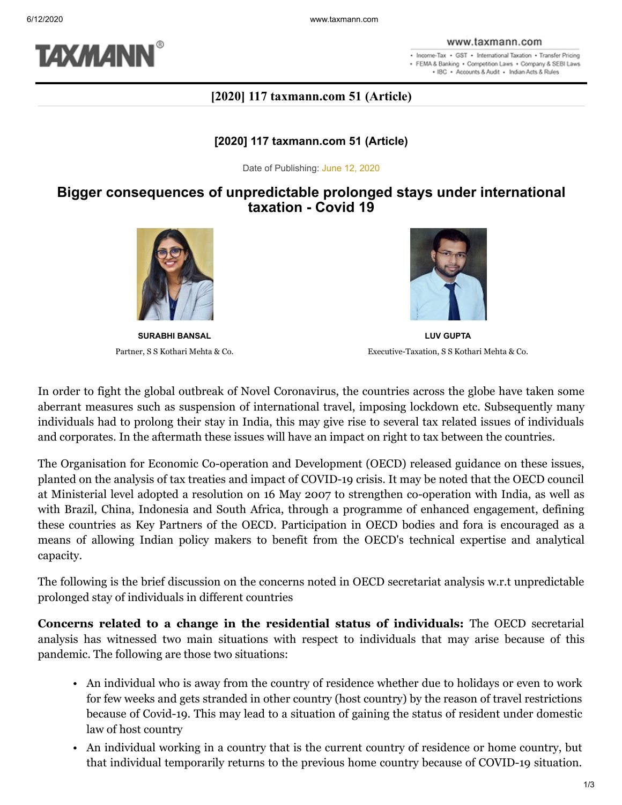

www.taxmann.com

. Income-Tax . GST . International Taxation . Transfer Pricing · FEMA & Banking · Competition Laws · Company & SEBI Laws . IBC . Accounts & Audit . Indian Acts & Rules

## **[2020] 117 taxmann.com 51 (Article)**

### **[2020] 117 taxmann.com 51 (Article)**

Date of Publishing: June 12, 2020

# **Bigger consequences of unpredictable prolonged stays under international taxation - Covid 19**



**SURABHI BANSAL** Partner, S S Kothari Mehta & Co.



**LUV GUPTA** Executive-Taxation, S S Kothari Mehta & Co.

In order to fight the global outbreak of Novel Coronavirus, the countries across the globe have taken some aberrant measures such as suspension of international travel, imposing lockdown etc. Subsequently many individuals had to prolong their stay in India, this may give rise to several tax related issues of individuals and corporates. In the aftermath these issues will have an impact on right to tax between the countries.

The Organisation for Economic Co-operation and Development (OECD) released guidance on these issues, planted on the analysis of tax treaties and impact of COVID-19 crisis. It may be noted that the OECD council at Ministerial level adopted a resolution on 16 May 2007 to strengthen co-operation with India, as well as with Brazil, China, Indonesia and South Africa, through a programme of enhanced engagement, defining these countries as Key Partners of the OECD. Participation in OECD bodies and fora is encouraged as a means of allowing Indian policy makers to benefit from the OECD's technical expertise and analytical capacity.

The following is the brief discussion on the concerns noted in OECD secretariat analysis w.r.t unpredictable prolonged stay of individuals in different countries

**Concerns related to a change in the residential status of individuals:** The OECD secretarial analysis has witnessed two main situations with respect to individuals that may arise because of this pandemic. The following are those two situations:

- An individual who is away from the country of residence whether due to holidays or even to work for few weeks and gets stranded in other country (host country) by the reason of travel restrictions because of Covid-19. This may lead to a situation of gaining the status of resident under domestic law of host country
- An individual working in a country that is the current country of residence or home country, but that individual temporarily returns to the previous home country because of COVID-19 situation.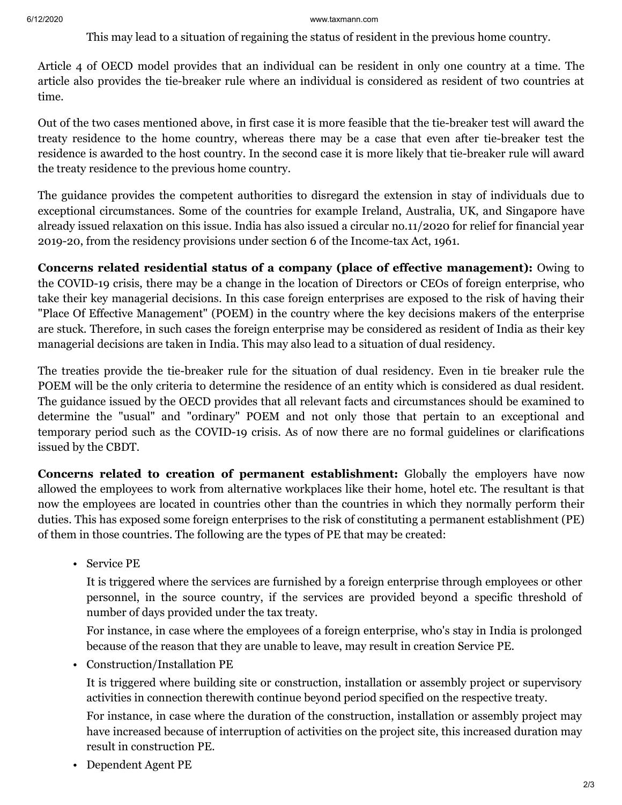### 6/12/2020 www.taxmann.com

This may lead to a situation of regaining the status of resident in the previous home country.

Article 4 of OECD model provides that an individual can be resident in only one country at a time. The article also provides the tie-breaker rule where an individual is considered as resident of two countries at time.

Out of the two cases mentioned above, in first case it is more feasible that the tie-breaker test will award the treaty residence to the home country, whereas there may be a case that even after tie-breaker test the residence is awarded to the host country. In the second case it is more likely that tie-breaker rule will award the treaty residence to the previous home country.

The guidance provides the competent authorities to disregard the extension in stay of individuals due to exceptional circumstances. Some of the countries for example Ireland, Australia, UK, and Singapore have already issued relaxation on this issue. India has also issued a circular no.11/2020 for relief for financial year 2019-20, from the residency provisions under section 6 of the Income-tax Act, 1961.

**Concerns related residential status of a company (place of effective management):** Owing to the COVID-19 crisis, there may be a change in the location of Directors or CEOs of foreign enterprise, who take their key managerial decisions. In this case foreign enterprises are exposed to the risk of having their "Place Of Effective Management" (POEM) in the country where the key decisions makers of the enterprise are stuck. Therefore, in such cases the foreign enterprise may be considered as resident of India as their key managerial decisions are taken in India. This may also lead to a situation of dual residency.

The treaties provide the tie-breaker rule for the situation of dual residency. Even in tie breaker rule the POEM will be the only criteria to determine the residence of an entity which is considered as dual resident. The guidance issued by the OECD provides that all relevant facts and circumstances should be examined to determine the "usual" and "ordinary" POEM and not only those that pertain to an exceptional and temporary period such as the COVID-19 crisis. As of now there are no formal guidelines or clarifications issued by the CBDT.

**Concerns related to creation of permanent establishment:** Globally the employers have now allowed the employees to work from alternative workplaces like their home, hotel etc. The resultant is that now the employees are located in countries other than the countries in which they normally perform their duties. This has exposed some foreign enterprises to the risk of constituting a permanent establishment (PE) of them in those countries. The following are the types of PE that may be created:

• Service PE

It is triggered where the services are furnished by a foreign enterprise through employees or other personnel, in the source country, if the services are provided beyond a specific threshold of number of days provided under the tax treaty.

For instance, in case where the employees of a foreign enterprise, who's stay in India is prolonged because of the reason that they are unable to leave, may result in creation Service PE.

• Construction/Installation PE

It is triggered where building site or construction, installation or assembly project or supervisory activities in connection therewith continue beyond period specified on the respective treaty.

For instance, in case where the duration of the construction, installation or assembly project may have increased because of interruption of activities on the project site, this increased duration may result in construction PE.

• Dependent Agent PE